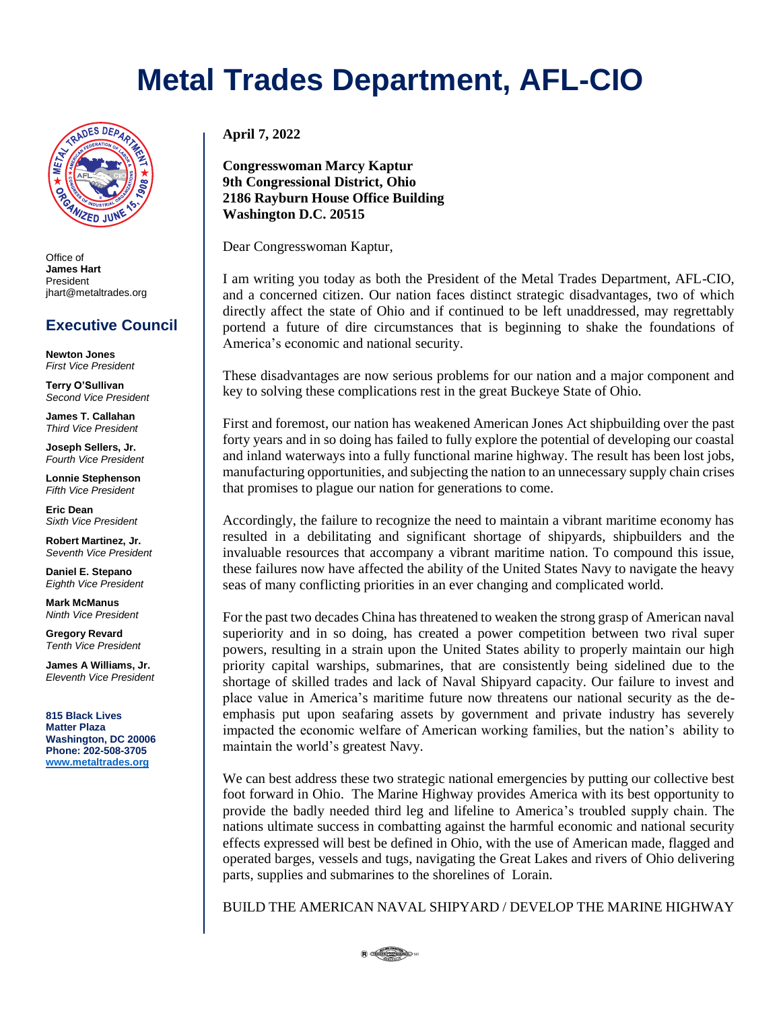## **Metal Trades Department, AFL-CIO**



Office of **James Hart** President jhart@metaltrades.org

### **Executive Council**

**Newton Jones** *First Vice President*

**Terry O'Sullivan** *Second Vice President*

**James T. Callahan** *Third Vice President*

**Joseph Sellers, Jr.** *Fourth Vice President*

**Lonnie Stephenson** *Fifth Vice President*

**Eric Dean** *Sixth Vice President*

**Robert Martinez, Jr.** *Seventh Vice President*

**Daniel E. Stepano** *Eighth Vice President*

**Mark McManus** *Ninth Vice President*

**Gregory Revard** *Tenth Vice President*

**James A Williams, Jr.** *Eleventh Vice President*

**815 Black Lives Matter Plaza Washington, DC 20006 Phone: 202-508-3705 [www.metaltrades.org](http://www.metaltrades.org/)**

**April 7, 2022**

**Congresswoman Marcy Kaptur 9th Congressional District, Ohio 2186 Rayburn House Office Building Washington D.C. 20515**

Dear Congresswoman Kaptur,

I am writing you today as both the President of the Metal Trades Department, AFL-CIO, and a concerned citizen. Our nation faces distinct strategic disadvantages, two of which directly affect the state of Ohio and if continued to be left unaddressed, may regrettably portend a future of dire circumstances that is beginning to shake the foundations of America's economic and national security.

These disadvantages are now serious problems for our nation and a major component and key to solving these complications rest in the great Buckeye State of Ohio.

First and foremost, our nation has weakened American Jones Act shipbuilding over the past forty years and in so doing has failed to fully explore the potential of developing our coastal and inland waterways into a fully functional marine highway. The result has been lost jobs, manufacturing opportunities, and subjecting the nation to an unnecessary supply chain crises that promises to plague our nation for generations to come.

Accordingly, the failure to recognize the need to maintain a vibrant maritime economy has resulted in a debilitating and significant shortage of shipyards, shipbuilders and the invaluable resources that accompany a vibrant maritime nation. To compound this issue, these failures now have affected the ability of the United States Navy to navigate the heavy seas of many conflicting priorities in an ever changing and complicated world.

For the past two decades China has threatened to weaken the strong grasp of American naval superiority and in so doing, has created a power competition between two rival super powers, resulting in a strain upon the United States ability to properly maintain our high priority capital warships, submarines, that are consistently being sidelined due to the shortage of skilled trades and lack of Naval Shipyard capacity. Our failure to invest and place value in America's maritime future now threatens our national security as the deemphasis put upon seafaring assets by government and private industry has severely impacted the economic welfare of American working families, but the nation's ability to maintain the world's greatest Navy.

We can best address these two strategic national emergencies by putting our collective best foot forward in Ohio. The Marine Highway provides America with its best opportunity to provide the badly needed third leg and lifeline to America's troubled supply chain. The nations ultimate success in combatting against the harmful economic and national security effects expressed will best be defined in Ohio, with the use of American made, flagged and operated barges, vessels and tugs, navigating the Great Lakes and rivers of Ohio delivering parts, supplies and submarines to the shorelines of Lorain.

BUILD THE AMERICAN NAVAL SHIPYARD / DEVELOP THE MARINE HIGHWAY